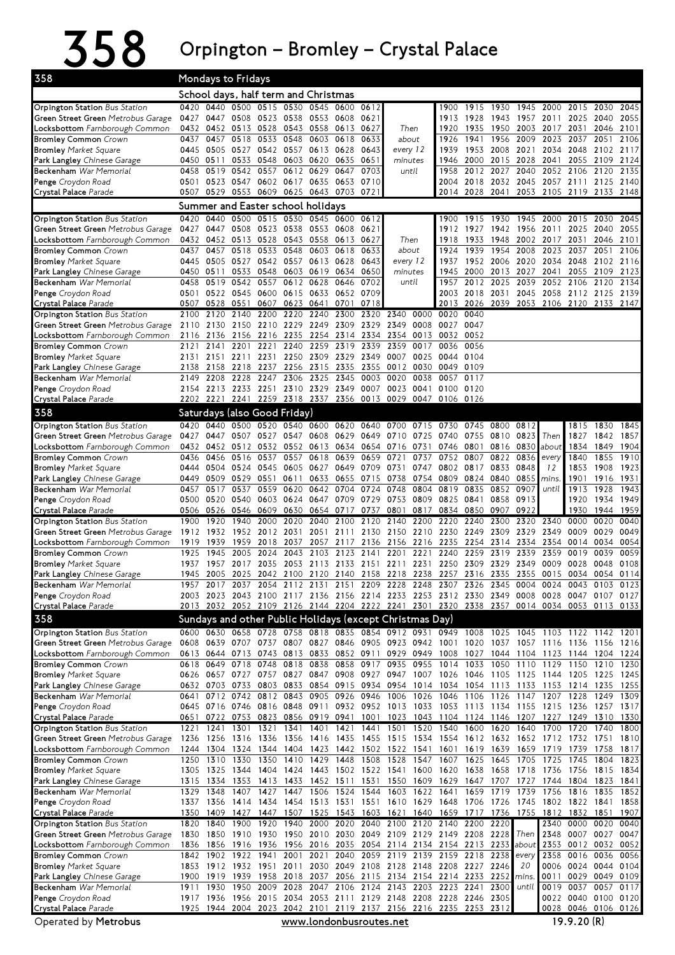## $358$  Orpington – Bromley – Crystal Palace

| 358                                                                   | Mondays to Fridays |                                                                    |                                  |                   |              |                                                      |                   |                   |                                                                  |              |                                  |              |                                              |              |                                                                                                                                                                                        |                                       |              |              |
|-----------------------------------------------------------------------|--------------------|--------------------------------------------------------------------|----------------------------------|-------------------|--------------|------------------------------------------------------|-------------------|-------------------|------------------------------------------------------------------|--------------|----------------------------------|--------------|----------------------------------------------|--------------|----------------------------------------------------------------------------------------------------------------------------------------------------------------------------------------|---------------------------------------|--------------|--------------|
| School days, half term and Christmas<br>0440 0500 0515 0530 0545 0600 |                    |                                                                    |                                  |                   |              |                                                      |                   |                   |                                                                  |              |                                  |              |                                              |              |                                                                                                                                                                                        |                                       |              |              |
| Orpington Station Bus Station                                         | 0420               |                                                                    |                                  |                   |              |                                                      |                   | 0612              |                                                                  |              | 1900                             | 1915         | 1930                                         | 1945         | 2000                                                                                                                                                                                   | 2015                                  | 2030         | 2045         |
| Green Street Green Metrobus Garage                                    | 0427               |                                                                    |                                  |                   |              | 0447 0508 0523 0538 0553 0608                        |                   | 0621              |                                                                  |              | 1913                             | 1928         | 1943                                         |              | 1957 2011 2025 2040                                                                                                                                                                    |                                       |              | 2055         |
| <b>Locksbottom</b> Farnborough Common                                 | 0432               |                                                                    | 0452 0513                        | 0528              |              | 0543 0558                                            | 0613              | 0627              | Then<br>about                                                    |              | 1920                             | 1935         | 1950                                         | 2003         | 2017 2031                                                                                                                                                                              |                                       | 2046         | 2101         |
| <b>Bromley Common Crown</b><br><b>Bromley</b> Market Square           | 0437<br>0445       | 0457<br>0505 0527                                                  | 0518                             | 0533<br>0542      | 0548<br>0557 | 0603<br>0613                                         | 0618<br>0628      | 0633<br>0643      | every 12                                                         |              | 1926<br>1939                     | 1941<br>1953 | 1956<br>2008                                 | 2009<br>2021 | 2023<br>2034                                                                                                                                                                           | 2037<br>2048                          | 2051<br>2102 | 2106<br>2117 |
| Park Langley Chinese Garage                                           |                    | 0450 0511                                                          |                                  |                   |              | 0533 0548 0603 0620 0635                             |                   | 0651              | minutes<br>until                                                 |              | 1946                             | 2000         | 2015                                         | 2028         | 2041                                                                                                                                                                                   | 2055                                  | 2109         | 2124         |
| Beckenham War Memorial                                                | 0458               |                                                                    | 0519 0542 0557                   |                   |              | 0612 0629                                            | 0647              | 0703              |                                                                  |              | 1958                             |              | 2012 2027                                    | 2040         | 2052 2106 2120                                                                                                                                                                         |                                       |              | 2135         |
| Penge Croydon Road                                                    | 0501               |                                                                    |                                  |                   |              | 0523 0547 0602 0617 0635 0653                        |                   | 0710              |                                                                  |              |                                  |              |                                              |              | 2004 2018 2032 2045 2057 2111 2125 2140                                                                                                                                                |                                       |              |              |
| Crystal Palace Parade                                                 | 0507               |                                                                    |                                  |                   |              | 0529 0553 0609 0625 0643 0703 0721                   |                   |                   |                                                                  |              |                                  |              |                                              |              | 2014 2028 2041 2053 2105 2119 2133 2148                                                                                                                                                |                                       |              |              |
|                                                                       |                    | Summer and Easter school holidays<br>0440 0500 0515 0530 0545 0600 |                                  |                   |              |                                                      |                   |                   |                                                                  |              |                                  |              |                                              |              |                                                                                                                                                                                        |                                       |              |              |
| Orpington Station Bus Station                                         | 0420               |                                                                    |                                  |                   |              | 0447 0508 0523 0538 0553 0608                        |                   | 0612              |                                                                  |              | 1900<br>1912                     | 1915         | 1930                                         | 1945         | 2000 2015                                                                                                                                                                              |                                       | 2030         | 2045         |
| Green Street Green Metrobus Garage<br>Locksbottom Farnborough Common  | 0427<br>0432       |                                                                    |                                  |                   |              | 0452 0513 0528 0543 0558 0613                        |                   | 0621<br>0627      | Then                                                             |              | 1918                             | 1927<br>1933 | 1948                                         |              | 1942 1956 2011<br>2002 2017 2031                                                                                                                                                       | 2025 2040                             | 2046         | 2055<br>2101 |
| <b>Bromley Common Crown</b>                                           | 0437               | 0457                                                               | 0518                             | 0533              | 0548         | 0603                                                 | 0618              | 0633              | about                                                            |              | 1924                             | 1939         | 1954                                         | 2008         | 2023                                                                                                                                                                                   | 2037                                  | 2051         | 2106         |
| <b>Bromley</b> Market Square                                          |                    |                                                                    |                                  |                   |              | 0445 0505 0527 0542 0557 0613 0628                   |                   | 0643              | every 12<br>minutes<br>until                                     |              | 1937                             |              | 1952 2006                                    |              | 2020 2034 2048                                                                                                                                                                         |                                       | 2102         | 2116         |
| Park Langley Chinese Garage                                           | 0450               | 0511                                                               | 0533 0548                        |                   |              | 0603 0619                                            | 0634              | 0650              |                                                                  |              | 1945                             | 2000         | 2013                                         | 2027         | 2041                                                                                                                                                                                   | 2055                                  | 2109         | 2123         |
| Beckenham War Memorial                                                | 0458               | 0519                                                               | 0542                             | 0557              |              | 0612 0628                                            | 0646              | 0702              |                                                                  |              | 1957                             | 2012         | 2025                                         | 2039         | 2052 2106                                                                                                                                                                              |                                       | 2120         | 2134         |
| Penge Croydon Road<br>Crystal Palace Parade                           | 0501               | 0522 0545                                                          |                                  | 0600              |              | 0615 0633 0652<br>0507 0528 0551 0607 0623 0641 0701 |                   | 0709<br>0718      |                                                                  |              | 2003<br>2013                     | 2018         | 2031                                         | 2045         | 2058<br>2026 2039 2053 2106 2120 2133 2147                                                                                                                                             | 2112                                  | 2125         | 2139         |
| Orpington Station Bus Station                                         | 2100               | 2120                                                               | 2140                             | 2200              | 2220         | 2240                                                 | 2300              |                   | 2320 2340                                                        | 0000         | 0020                             | 0040         |                                              |              |                                                                                                                                                                                        |                                       |              |              |
| Green Street Green Metrobus Garage                                    | 2110               |                                                                    |                                  |                   |              | 2130 2150 2210 2229 2249 2309                        |                   | 2329 2349         |                                                                  | 0008         | 0027 0047                        |              |                                              |              |                                                                                                                                                                                        |                                       |              |              |
| Locksbottom Farnborough Common                                        | 2116               | 2136                                                               | 2156 2216                        |                   |              | 2235 2254                                            | 2314              |                   | 2334 2354                                                        |              | 0013 0032                        | 0052         |                                              |              |                                                                                                                                                                                        |                                       |              |              |
| <b>Bromley Common Crown</b>                                           | 2121               | 2141                                                               | 2201                             | 2221              | 2240         | 2259                                                 | 2319              | 2339              | 2359                                                             | 0017         | 0036                             | 0056         |                                              |              |                                                                                                                                                                                        |                                       |              |              |
| <b>Bromley</b> Market Square                                          | 2131               | 2158                                                               | 2218                             | 2237              |              | 2151 2211 2231 2250 2309 2329 2349 0007              | 2335              | 2355              | 0012                                                             | 0025<br>0030 | 0044 0104<br>0049                | 0109         |                                              |              |                                                                                                                                                                                        |                                       |              |              |
| Park Langley Chinese Garage<br>Beckenham War Memorial                 | 2138<br>2149       | 2208                                                               | 2228                             | 2247              |              | 2256 2315<br>2306 2325                               | 2345              | 0003 0020         |                                                                  | 0038         | 0057 0117                        |              |                                              |              |                                                                                                                                                                                        |                                       |              |              |
| Penge Croydon Road                                                    |                    |                                                                    |                                  |                   |              | 2154 2213 2233 2251 2310 2329 2349 0007 0023         |                   |                   |                                                                  | 0041         | 0100 0120                        |              |                                              |              |                                                                                                                                                                                        |                                       |              |              |
| Crystal Palace Parade                                                 |                    |                                                                    |                                  |                   |              | 2202 2221 2241 2259 2318 2337 2356 0013 0029         |                   |                   |                                                                  |              | 0047 0106 0126                   |              |                                              |              |                                                                                                                                                                                        |                                       |              |              |
| 358                                                                   |                    |                                                                    | Saturdays (also Good Friday)     |                   |              |                                                      |                   |                   |                                                                  |              |                                  |              |                                              |              |                                                                                                                                                                                        |                                       |              |              |
| Orpington Station Bus Station                                         | 0420               | 0440                                                               | 0500                             | 0520              |              | 0540 0600 0620 0640 0700                             |                   |                   |                                                                  |              | 0715 0730 0745                   |              | 0800 0812                                    |              |                                                                                                                                                                                        | 1815                                  | 1830         | 1845         |
| Green Street Green Metrobus Garage                                    | 0427               | 0447                                                               | 0507                             | 0527              | 0547         | 0608                                                 | 0629              | 0649 0710         |                                                                  | 0725         | 0740                             |              | 0755 0810                                    | 0823 Then    |                                                                                                                                                                                        | 1827                                  | 1842         | 1857         |
| Locksbottom Farnborough Common                                        |                    |                                                                    |                                  |                   |              | 0432 0452 0512 0532 0552 0613 0634 0654 0716         |                   |                   |                                                                  | 0731         |                                  | 0746 0801    | 0816 0830                                    |              | about                                                                                                                                                                                  | 1834                                  | 1849         | 1904         |
| <b>Bromley Common Crown</b>                                           | 0436<br>0444       | 0456<br>0504                                                       | 0516<br>0524 0545                | 0537              | 0557         | 0618<br>0605 0627                                    | 0639<br>0649      | 0659<br>0709 0731 | 0721                                                             | 0737         | 0752<br>0747 0802 0817           | 0807         | 0822<br>0833                                 | 0836<br>0848 | every<br>12                                                                                                                                                                            | 1840<br>1853                          | 1855<br>1908 | 1910<br>1923 |
| <b>Bromley</b> Market Square<br>Park Langley Chinese Garage           | 0449               |                                                                    | 0509 0529                        | 0551              | 0611         | 0633                                                 | 0655              | 0715 0738         |                                                                  |              | 0754 0809 0824 0840              |              |                                              | 0855         | mins.                                                                                                                                                                                  | 1901                                  | 1916         | 1931         |
| Beckenham War Memorial                                                | 0457               | 0517                                                               | 0537                             | 0559              | 0620         | 0642                                                 | 0704              | 0724              | 0748                                                             | 0804         | 0819                             | 0835         | 0852                                         | 0907         | until                                                                                                                                                                                  | 1913                                  | 1928         | 1943         |
| Penge Croydon Road                                                    |                    | 0500 0520 0540                                                     |                                  |                   |              | 0603 0624 0647 0709 0729 0753                        |                   |                   |                                                                  |              | 0809 0825 0841                   |              | 0858                                         | 0913         |                                                                                                                                                                                        | 1920                                  | 1934 1949    |              |
| Crystal Palace Parade                                                 |                    | 0506 0526                                                          | 0546                             | 0609              | 0630         | 0654                                                 | 0717              | 0737              | 0801                                                             | 0817         | 0834                             | 0850         | 0907                                         | 0922         |                                                                                                                                                                                        | 1930                                  | 1944         | 1959         |
| Orpington Station Bus Station                                         | 1900               | 1920                                                               | 1940                             | 2000<br>2012      | 2020         | 2040<br>2051                                         | 2100              |                   | 2120 2140                                                        |              | 2200 2220                        | 2240         | 2300<br>2309                                 | 2320         | 2340<br>2349                                                                                                                                                                           | 0000<br>0009                          | 0020         | 0040<br>0049 |
| Green Street Green Metrobus Garage<br>Locksbottom Farnborough Common  | 1912<br>1919       | 1932<br>1939                                                       | 1952<br>1959                     | 2018              | 2031<br>2037 |                                                      | 2111<br>2057 2117 |                   | 2130 2150<br>2136 2156 2216 2235 2254                            |              | 2210 2230 2249                   |              | 2314 2334                                    | 2329         | 2354                                                                                                                                                                                   | 0014 0034                             | 0029         | 0054         |
| <b>Bromley Common</b> Crown                                           | 1925               | 1945                                                               | 2005                             | 2024              | 2043         | 2103                                                 | 2123              | 2141              | 2201                                                             | 2221         | 2240                             | 2259         | 2319                                         | 2339         | 2359                                                                                                                                                                                   | 0019                                  | 0039         | 0059         |
| <b>Bromley</b> Market Square                                          | 1937               | 1957                                                               |                                  | 2017 2035         |              | 2053 2113                                            |                   |                   | 2133 2151 2211 2231                                              |              | 2250 2309                        |              | 2329                                         | 2349         | 0009 0028                                                                                                                                                                              |                                       | 0048         | 0108         |
| Park Langley Chinese Garage                                           | 1945               | 2005 2025                                                          |                                  |                   |              | 2042 2100 2120                                       |                   |                   | 2140 2158 2218 2238 2257 2316 2335                               |              |                                  |              |                                              |              | 2355 0015 0034                                                                                                                                                                         |                                       | 0054 0114    |              |
| Beckenham War Memorial                                                | 1957               |                                                                    | 2017 2037 2054                   |                   |              |                                                      |                   |                   |                                                                  |              |                                  |              |                                              |              | 2112 2131 2151 2209 2228 2248 2307 2326 2345 0004 0024 0043 0103 0123                                                                                                                  |                                       |              |              |
| Penge Croydon Road<br>Crystal Palace Parade                           |                    |                                                                    |                                  |                   |              |                                                      |                   |                   |                                                                  |              |                                  |              |                                              |              | 2003 2023 2043 2100 2117 2136 2156 2214 2233 2253 2312 2330 2349 0008 0028 0047 0107 0127<br>2013 2032 2052 2109 2126 2144 2204 2222 2241 2301 2320 2338 2357 0014 0034 0053 0113 0133 |                                       |              |              |
| 358                                                                   |                    |                                                                    |                                  |                   |              |                                                      |                   |                   | Sundays and other Public Holidays (except Christmas Day)         |              |                                  |              |                                              |              |                                                                                                                                                                                        |                                       |              |              |
| Orpington Station Bus Station                                         |                    |                                                                    | 0600 0630 0658 0728              |                   |              |                                                      |                   |                   | 0758 0818 0835 0854 0912 0931 0949 1008                          |              |                                  |              | 1025                                         | 1045         | 1103                                                                                                                                                                                   | 1122 1142                             |              | 1201         |
| Green Street Green Metrobus Garage                                    |                    |                                                                    | 0608 0639 0707 0737              |                   |              |                                                      |                   |                   |                                                                  |              |                                  |              |                                              |              | 0807 0827 0846 0905 0923 0942 1001 1020 1037 1057 1116 1136 1156 1216                                                                                                                  |                                       |              |              |
| Locksbottom Farnborough Common                                        | 0613               | 0644                                                               | 0713                             | 0743              |              |                                                      |                   |                   |                                                                  |              |                                  |              |                                              |              | 0813 0833 0852 0911 0929 0949 1008 1027 1044 1104 1123 1144                                                                                                                            |                                       | 1204         | 1224         |
| <b>Bromley Common Crown</b>                                           |                    |                                                                    | 0618 0649 0718 0748              |                   |              | 0818 0838                                            |                   | 0858 0917 0935    |                                                                  |              | 0955 1014 1033                   |              |                                              |              | 1050 1110 1129 1150                                                                                                                                                                    |                                       | 1210         | 1230         |
| <b>Bromley Market Square</b>                                          |                    |                                                                    | 0626 0657 0727 0757              |                   |              | 0827 0847 0908 0927 0947                             |                   |                   |                                                                  |              |                                  |              |                                              |              | 1007 1026 1046 1105 1125 1144 1205 1225                                                                                                                                                |                                       |              | 1245         |
| Park Langley Chinese Garage<br>Beckenham War Memorial                 | 0641               |                                                                    | 0632 0703 0733 0803<br>0712 0742 | 0812              |              | 0833 0854 0915 0934 0954<br>0843 0905 0926 0946 1006 |                   |                   |                                                                  |              |                                  |              | 1026 1046 1106 1126 1147                     |              | 1014 1034 1054 1113 1133 1153 1214 1235<br>1207 1228                                                                                                                                   |                                       | 1249         | 1255<br>1309 |
| Penge Croydon Road                                                    |                    |                                                                    |                                  |                   |              |                                                      |                   |                   |                                                                  |              |                                  |              |                                              |              | 0645 0716 0746 0816 0848 0911 0932 0952 1013 1033 1053 1113 1134 1155 1215 1236 1257 1317                                                                                              |                                       |              |              |
| Crystal Palace Parade                                                 |                    | 0651 0722                                                          | 0753                             | 0823              |              | 0856 0919 0941 1001 1023                             |                   |                   |                                                                  |              |                                  |              |                                              |              | 1043 1104 1124 1146 1207 1227 1249 1310                                                                                                                                                |                                       |              | 1330         |
| Orpington Station Bus Station                                         | 1221               | 1241                                                               | 1301                             | 1321              | 1341         | 1401                                                 | 1421              | 1441 1501         |                                                                  | 1520         | 1540                             | 1600         | 1620                                         | 1640         | 1700                                                                                                                                                                                   | 1720                                  | 1740         | 1800         |
| Green Street Green Metrobus Garage                                    |                    |                                                                    | 1236 1256 1316 1336              |                   |              |                                                      |                   |                   |                                                                  |              |                                  |              |                                              |              | 1356 1416 1435 1455 1515 1534 1554 1612 1632 1652 1712 1732 1751                                                                                                                       |                                       |              | 1810         |
| Locksbottom Farnborough Common<br><b>Bromley Common</b> Crown         |                    | 1244 1304<br>1250 1310                                             | 1330                             | 1324 1344<br>1350 |              | 1404 1423<br>1410 1429 1448 1508 1528                |                   |                   | 1442 1502 1522 1541 1601                                         |              |                                  |              | 1619 1639 1659<br>1547 1607 1625 1645 1705   |              | 1719 1739<br>1725 1745                                                                                                                                                                 |                                       | 1758<br>1804 | 1817<br>1823 |
| <b>Bromley</b> Market Square                                          |                    | 1305 1325                                                          |                                  |                   |              | 1344 1404 1424 1443 1502 1522 1541                   |                   |                   |                                                                  |              |                                  |              | 1600 1620 1638 1658 1718                     |              | 1736                                                                                                                                                                                   | 1756                                  | 1815         | 1834         |
| Park Langley Chinese Garage                                           | 1315               | 1334                                                               | 1353                             | 1413              |              | 1433 1452 1511                                       |                   |                   | 1531 1550                                                        |              |                                  |              | 1609 1629 1647 1707 1727                     |              | 1744                                                                                                                                                                                   | 1804                                  | 1823         | 1841         |
| Beckenham War Memorial                                                | 1329               | 1348                                                               | 1407                             | 1427              |              | 1447 1506 1524 1544 1603                             |                   |                   |                                                                  | 1622 1641    |                                  |              | 1659 1719 1739                               |              | 1756                                                                                                                                                                                   | 1816                                  | 1835         | 1852         |
| Penge Croydon Road                                                    |                    | 1337 1356                                                          | 1414                             | 1434              |              |                                                      |                   |                   |                                                                  |              |                                  |              |                                              |              | 1454 1513 1531 1551 1610 1629 1648 1706 1726 1745 1802 1822 1841                                                                                                                       |                                       |              | 1858         |
| Crystal Palace Parade<br><b>Orpington Station</b> Bus Station         | 1820               | 1840                                                               | 1900                             | 1920              |              | 1940 2000 2020                                       |                   |                   | 2040 2100 2120 2140 2200 2220                                    |              |                                  |              |                                              |              | 1350 1409 1427 1447 1507 1525 1543 1603 1621 1640 1659 1717 1736 1755 1812 1832 1851                                                                                                   | 2340 0000                             | 0020         | 1907<br>0040 |
| Green Street Green Metrobus Garage                                    |                    |                                                                    |                                  |                   |              |                                                      |                   |                   | 1830 1850 1910 1930 1950 2010 2030 2049 2109 2129 2149 2208 2228 |              |                                  |              |                                              | Then         | 2348                                                                                                                                                                                   |                                       | 0007 0027    | 0047         |
| <b>Locksbottom</b> Farnborough Common                                 |                    | 1836 1856                                                          | 1916                             | 1936              |              |                                                      |                   |                   |                                                                  |              |                                  |              | 1956 2016 2035 2054 2114 2134 2154 2213 2233 |              | about 2353 0012 0032 0052                                                                                                                                                              |                                       |              |              |
| <b>Bromley Common Crown</b>                                           |                    | 1842 1902                                                          | 1922 1941                        |                   | 2001         | 2021                                                 |                   |                   | 2040 2059 2119 2139 2159 2218 2238                               |              |                                  |              |                                              | every        | 2358                                                                                                                                                                                   | 0016 0036                             |              | 0056         |
| <b>Bromley</b> Market Square                                          |                    |                                                                    | 1853 1912 1932 1951              |                   | 2011         |                                                      |                   |                   | 2030 2049 2108 2128 2148 2208 2227 2246                          |              |                                  |              |                                              | 20           |                                                                                                                                                                                        | 0006 0024 0044                        |              | 0104         |
| Park Langley Chinese Garage                                           |                    | 1900 1919                                                          | 1939                             | 1958              |              |                                                      |                   |                   | 2018 2037 2056 2115 2134 2154 2214 2233                          |              |                                  |              | 2252                                         | mins.        | 0011                                                                                                                                                                                   | 0029 0049                             |              | 0109         |
| Beckenham War Memorial<br>Penge Croydon Road                          | 1911               | 1930<br>1917 1936                                                  | 1950<br>1956                     | 2009<br>2015      |              | 2028 2047 2106 2124 2143<br>2034 2053 2111 2129 2148 |                   |                   |                                                                  |              | 2203 2223 2241<br>2208 2228 2246 |              | 2300<br>2305                                 | until        |                                                                                                                                                                                        | 0019 0037 0057<br>0022 0040 0100 0120 |              | 0117         |
| Crystal Palace Parade                                                 |                    |                                                                    |                                  |                   |              |                                                      |                   |                   | 1925 1944 2004 2023 2042 2101 2119 2137 2156 2216 2235 2253 2312 |              |                                  |              |                                              |              |                                                                                                                                                                                        | 0028 0046 0106 0126                   |              |              |
| Operated by Metrobus                                                  |                    |                                                                    |                                  |                   |              |                                                      |                   |                   | www.londonbusroutes.net                                          |              |                                  |              |                                              |              |                                                                                                                                                                                        | 19.9.20(R)                            |              |              |